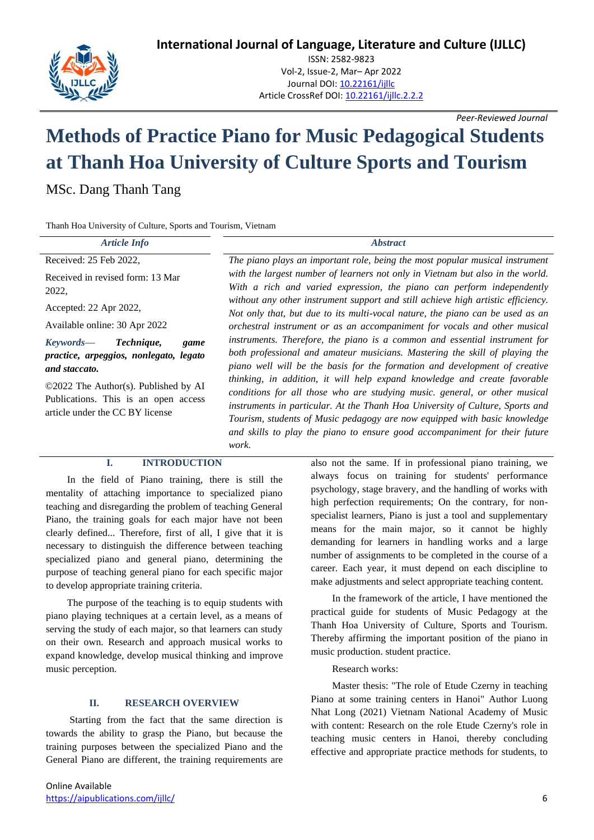**International Journal of Language, Literature and Culture (IJLLC)**



ISSN: 2582-9823 Vol-2, Issue-2, Mar– Apr 2022 Journal DOI[: 10.22161/ijllc](https://dx.doi.org/10.22161/ijllc.1.1) Article CrossRef DOI: [10.22161/ijllc.2.2.2](https://dx.doi.org/10.22161/ijllc.2.2.2)

*Peer-Reviewed Journal*

# **Methods of Practice Piano for Music Pedagogical Students at Thanh Hoa University of Culture Sports and Tourism**

MSc. Dang Thanh Tang

Thanh Hoa University of Culture, Sports and Tourism, Vietnam

| <b>Article Info</b>                                                                                                                                                                                           | <b>Abstract</b>                                                                                                                                                                                                                                                                                                                                                                                                                                                                                                                                                                                                                                                                                                                                                                                                                                                                                                                                                                                                                                                                                                                                       |
|---------------------------------------------------------------------------------------------------------------------------------------------------------------------------------------------------------------|-------------------------------------------------------------------------------------------------------------------------------------------------------------------------------------------------------------------------------------------------------------------------------------------------------------------------------------------------------------------------------------------------------------------------------------------------------------------------------------------------------------------------------------------------------------------------------------------------------------------------------------------------------------------------------------------------------------------------------------------------------------------------------------------------------------------------------------------------------------------------------------------------------------------------------------------------------------------------------------------------------------------------------------------------------------------------------------------------------------------------------------------------------|
| Received: 25 Feb 2022,                                                                                                                                                                                        | The piano plays an important role, being the most popular musical instrument<br>with the largest number of learners not only in Vietnam but also in the world.<br>With a rich and varied expression, the piano can perform independently<br>without any other instrument support and still achieve high artistic efficiency.<br>Not only that, but due to its multi-vocal nature, the piano can be used as an<br>orchestral instrument or as an accompaniment for vocals and other musical<br>instruments. Therefore, the piano is a common and essential instrument for<br>both professional and amateur musicians. Mastering the skill of playing the<br>piano well will be the basis for the formation and development of creative<br>thinking, in addition, it will help expand knowledge and create favorable<br>conditions for all those who are studying music. general, or other musical<br>instruments in particular. At the Thanh Hoa University of Culture, Sports and<br>Tourism, students of Music pedagogy are now equipped with basic knowledge<br>and skills to play the piano to ensure good accompaniment for their future<br>work. |
| Received in revised form: 13 Mar<br>2022,                                                                                                                                                                     |                                                                                                                                                                                                                                                                                                                                                                                                                                                                                                                                                                                                                                                                                                                                                                                                                                                                                                                                                                                                                                                                                                                                                       |
| Accepted: 22 Apr 2022,                                                                                                                                                                                        |                                                                                                                                                                                                                                                                                                                                                                                                                                                                                                                                                                                                                                                                                                                                                                                                                                                                                                                                                                                                                                                                                                                                                       |
| Available online: 30 Apr 2022                                                                                                                                                                                 |                                                                                                                                                                                                                                                                                                                                                                                                                                                                                                                                                                                                                                                                                                                                                                                                                                                                                                                                                                                                                                                                                                                                                       |
| Keywords—<br>Technique,<br>game<br>practice, arpeggios, nonlegato, legato<br>and staccato.<br>©2022 The Author(s). Published by AI<br>Publications. This is an open access<br>article under the CC BY license |                                                                                                                                                                                                                                                                                                                                                                                                                                                                                                                                                                                                                                                                                                                                                                                                                                                                                                                                                                                                                                                                                                                                                       |

## **I. INTRODUCTION**

In the field of Piano training, there is still the mentality of attaching importance to specialized piano teaching and disregarding the problem of teaching General Piano, the training goals for each major have not been clearly defined... Therefore, first of all, I give that it is necessary to distinguish the difference between teaching specialized piano and general piano, determining the purpose of teaching general piano for each specific major to develop appropriate training criteria.

The purpose of the teaching is to equip students with piano playing techniques at a certain level, as a means of serving the study of each major, so that learners can study on their own. Research and approach musical works to expand knowledge, develop musical thinking and improve music perception.

# **II. RESEARCH OVERVIEW**

Starting from the fact that the same direction is towards the ability to grasp the Piano, but because the training purposes between the specialized Piano and the General Piano are different, the training requirements are

also not the same. If in professional piano training, we always focus on training for students' performance psychology, stage bravery, and the handling of works with high perfection requirements; On the contrary, for nonspecialist learners, Piano is just a tool and supplementary means for the main major, so it cannot be highly demanding for learners in handling works and a large number of assignments to be completed in the course of a career. Each year, it must depend on each discipline to make adjustments and select appropriate teaching content.

In the framework of the article, I have mentioned the practical guide for students of Music Pedagogy at the Thanh Hoa University of Culture, Sports and Tourism. Thereby affirming the important position of the piano in music production. student practice.

Research works:

Master thesis: "The role of Etude Czerny in teaching Piano at some training centers in Hanoi" Author Luong Nhat Long (2021) Vietnam National Academy of Music with content: Research on the role Etude Czerny's role in teaching music centers in Hanoi, thereby concluding effective and appropriate practice methods for students, to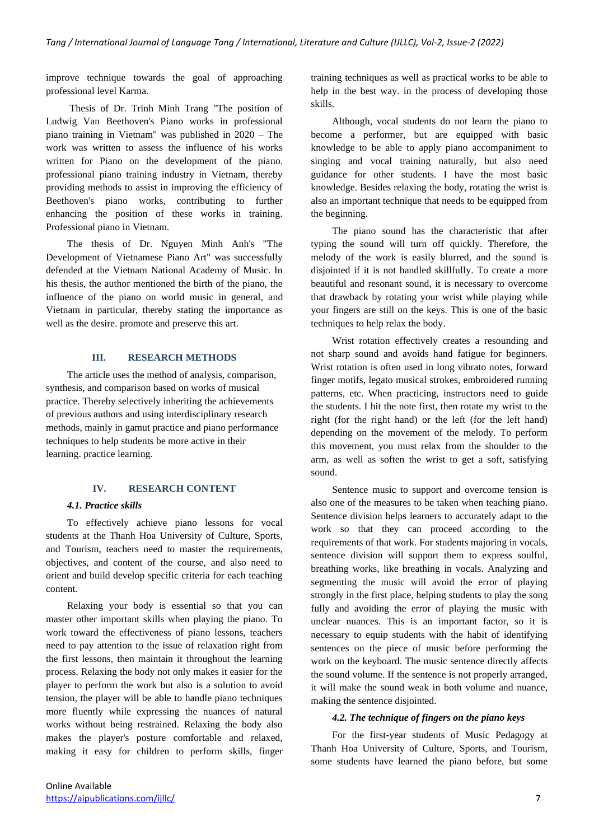improve technique towards the goal of approaching professional level Karma.

Thesis of Dr. Trinh Minh Trang "The position of Ludwig Van Beethoven's Piano works in professional piano training in Vietnam" was published in 2020 – The work was written to assess the influence of his works written for Piano on the development of the piano. professional piano training industry in Vietnam, thereby providing methods to assist in improving the efficiency of Beethoven's piano works, contributing to further enhancing the position of these works in training. Professional piano in Vietnam.

The thesis of Dr. Nguyen Minh Anh's "The Development of Vietnamese Piano Art" was successfully defended at the Vietnam National Academy of Music. In his thesis, the author mentioned the birth of the piano, the influence of the piano on world music in general, and Vietnam in particular, thereby stating the importance as well as the desire. promote and preserve this art.

#### **III. RESEARCH METHODS**

The article uses the method of analysis, comparison, synthesis, and comparison based on works of musical practice. Thereby selectively inheriting the achievements of previous authors and using interdisciplinary research methods, mainly in gamut practice and piano performance techniques to help students be more active in their learning. practice learning.

#### **IV. RESEARCH CONTENT**

## *4.1. Practice skills*

To effectively achieve piano lessons for vocal students at the Thanh Hoa University of Culture, Sports, and Tourism, teachers need to master the requirements, objectives, and content of the course, and also need to orient and build develop specific criteria for each teaching content.

Relaxing your body is essential so that you can master other important skills when playing the piano. To work toward the effectiveness of piano lessons, teachers need to pay attention to the issue of relaxation right from the first lessons, then maintain it throughout the learning process. Relaxing the body not only makes it easier for the player to perform the work but also is a solution to avoid tension, the player will be able to handle piano techniques more fluently while expressing the nuances of natural works without being restrained. Relaxing the body also makes the player's posture comfortable and relaxed, making it easy for children to perform skills, finger training techniques as well as practical works to be able to help in the best way. in the process of developing those skills.

Although, vocal students do not learn the piano to become a performer, but are equipped with basic knowledge to be able to apply piano accompaniment to singing and vocal training naturally, but also need guidance for other students. I have the most basic knowledge. Besides relaxing the body, rotating the wrist is also an important technique that needs to be equipped from the beginning.

The piano sound has the characteristic that after typing the sound will turn off quickly. Therefore, the melody of the work is easily blurred, and the sound is disjointed if it is not handled skillfully. To create a more beautiful and resonant sound, it is necessary to overcome that drawback by rotating your wrist while playing while your fingers are still on the keys. This is one of the basic techniques to help relax the body.

Wrist rotation effectively creates a resounding and not sharp sound and avoids hand fatigue for beginners. Wrist rotation is often used in long vibrato notes, forward finger motifs, legato musical strokes, embroidered running patterns, etc. When practicing, instructors need to guide the students. I hit the note first, then rotate my wrist to the right (for the right hand) or the left (for the left hand) depending on the movement of the melody. To perform this movement, you must relax from the shoulder to the arm, as well as soften the wrist to get a soft, satisfying sound.

Sentence music to support and overcome tension is also one of the measures to be taken when teaching piano. Sentence division helps learners to accurately adapt to the work so that they can proceed according to the requirements of that work. For students majoring in vocals, sentence division will support them to express soulful, breathing works, like breathing in vocals. Analyzing and segmenting the music will avoid the error of playing strongly in the first place, helping students to play the song fully and avoiding the error of playing the music with unclear nuances. This is an important factor, so it is necessary to equip students with the habit of identifying sentences on the piece of music before performing the work on the keyboard. The music sentence directly affects the sound volume. If the sentence is not properly arranged, it will make the sound weak in both volume and nuance, making the sentence disjointed.

## *4.2. The technique of fingers on the piano keys*

For the first-year students of Music Pedagogy at Thanh Hoa University of Culture, Sports, and Tourism, some students have learned the piano before, but some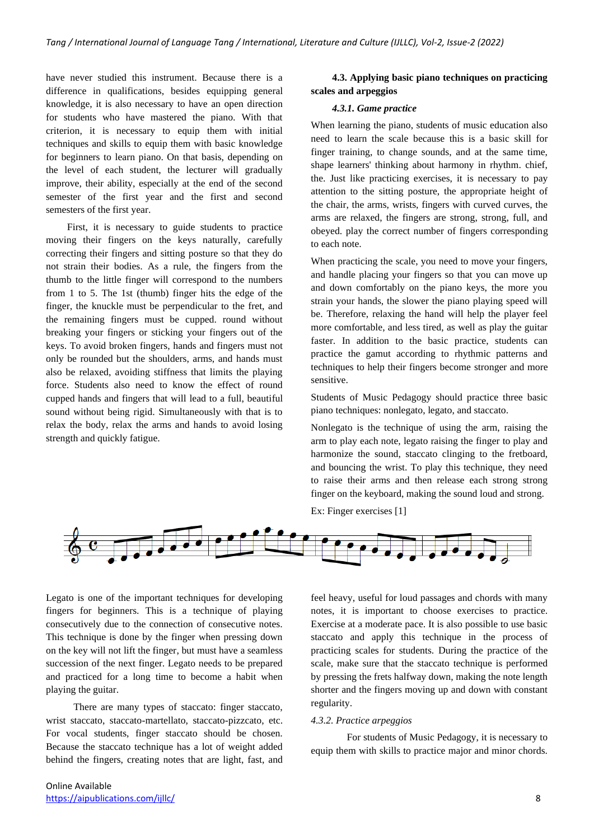have never studied this instrument. Because there is a difference in qualifications, besides equipping general knowledge, it is also necessary to have an open direction for students who have mastered the piano. With that criterion, it is necessary to equip them with initial techniques and skills to equip them with basic knowledge for beginners to learn piano. On that basis, depending on the level of each student, the lecturer will gradually improve, their ability, especially at the end of the second semester of the first year and the first and second semesters of the first year.

First, it is necessary to guide students to practice moving their fingers on the keys naturally, carefully correcting their fingers and sitting posture so that they do not strain their bodies. As a rule, the fingers from the thumb to the little finger will correspond to the numbers from 1 to 5. The 1st (thumb) finger hits the edge of the finger, the knuckle must be perpendicular to the fret, and the remaining fingers must be cupped. round without breaking your fingers or sticking your fingers out of the keys. To avoid broken fingers, hands and fingers must not only be rounded but the shoulders, arms, and hands must also be relaxed, avoiding stiffness that limits the playing force. Students also need to know the effect of round cupped hands and fingers that will lead to a full, beautiful sound without being rigid. Simultaneously with that is to relax the body, relax the arms and hands to avoid losing strength and quickly fatigue.

## **4.3. Applying basic piano techniques on practicing scales and arpeggios**

#### *4.3.1. Game practice*

When learning the piano, students of music education also need to learn the scale because this is a basic skill for finger training, to change sounds, and at the same time, shape learners' thinking about harmony in rhythm. chief, the. Just like practicing exercises, it is necessary to pay attention to the sitting posture, the appropriate height of the chair, the arms, wrists, fingers with curved curves, the arms are relaxed, the fingers are strong, strong, full, and obeyed. play the correct number of fingers corresponding to each note.

When practicing the scale, you need to move your fingers, and handle placing your fingers so that you can move up and down comfortably on the piano keys, the more you strain your hands, the slower the piano playing speed will be. Therefore, relaxing the hand will help the player feel more comfortable, and less tired, as well as play the guitar faster. In addition to the basic practice, students can practice the gamut according to rhythmic patterns and techniques to help their fingers become stronger and more sensitive.

Students of Music Pedagogy should practice three basic piano techniques: nonlegato, legato, and staccato.

Nonlegato is the technique of using the arm, raising the arm to play each note, legato raising the finger to play and harmonize the sound, staccato clinging to the fretboard, and bouncing the wrist. To play this technique, they need to raise their arms and then release each strong strong finger on the keyboard, making the sound loud and strong.

Ex: Finger exercises [1]



Legato is one of the important techniques for developing fingers for beginners. This is a technique of playing consecutively due to the connection of consecutive notes. This technique is done by the finger when pressing down on the key will not lift the finger, but must have a seamless succession of the next finger. Legato needs to be prepared and practiced for a long time to become a habit when playing the guitar.

 There are many types of staccato: finger staccato, wrist staccato, staccato-martellato, staccato-pizzcato, etc. For vocal students, finger staccato should be chosen. Because the staccato technique has a lot of weight added behind the fingers, creating notes that are light, fast, and feel heavy, useful for loud passages and chords with many notes, it is important to choose exercises to practice. Exercise at a moderate pace. It is also possible to use basic staccato and apply this technique in the process of practicing scales for students. During the practice of the scale, make sure that the staccato technique is performed by pressing the frets halfway down, making the note length shorter and the fingers moving up and down with constant regularity.

#### *4.3.2. Practice arpeggios*

For students of Music Pedagogy, it is necessary to equip them with skills to practice major and minor chords.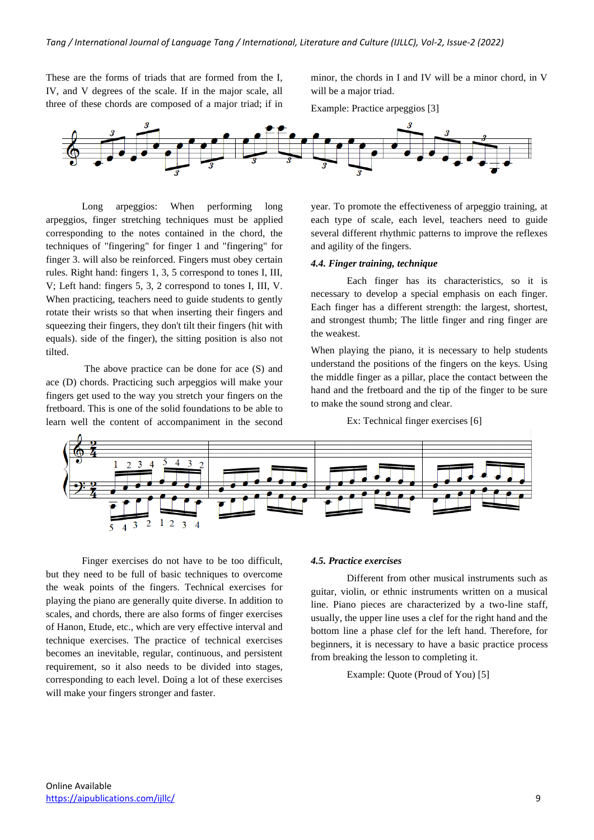These are the forms of triads that are formed from the I, IV, and V degrees of the scale. If in the major scale, all three of these chords are composed of a major triad; if in minor, the chords in I and IV will be a minor chord, in V will be a major triad.

Example: Practice arpeggios [3]



Long arpeggios: When performing long arpeggios, finger stretching techniques must be applied corresponding to the notes contained in the chord, the techniques of "fingering" for finger 1 and "fingering" for finger 3. will also be reinforced. Fingers must obey certain rules. Right hand: fingers 1, 3, 5 correspond to tones I, III, V; Left hand: fingers 5, 3, 2 correspond to tones I, III, V. When practicing, teachers need to guide students to gently rotate their wrists so that when inserting their fingers and squeezing their fingers, they don't tilt their fingers (hit with equals). side of the finger), the sitting position is also not tilted.

The above practice can be done for ace (S) and ace (D) chords. Practicing such arpeggios will make your fingers get used to the way you stretch your fingers on the fretboard. This is one of the solid foundations to be able to learn well the content of accompaniment in the second

year. To promote the effectiveness of arpeggio training, at each type of scale, each level, teachers need to guide several different rhythmic patterns to improve the reflexes and agility of the fingers.

#### *4.4. Finger training, technique*

Each finger has its characteristics, so it is necessary to develop a special emphasis on each finger. Each finger has a different strength: the largest, shortest, and strongest thumb; The little finger and ring finger are the weakest.

When playing the piano, it is necessary to help students understand the positions of the fingers on the keys. Using the middle finger as a pillar, place the contact between the hand and the fretboard and the tip of the finger to be sure to make the sound strong and clear.

Ex: Technical finger exercises [6]



Finger exercises do not have to be too difficult, but they need to be full of basic techniques to overcome the weak points of the fingers. Technical exercises for playing the piano are generally quite diverse. In addition to scales, and chords, there are also forms of finger exercises of Hanon, Etude, etc., which are very effective interval and technique exercises. The practice of technical exercises becomes an inevitable, regular, continuous, and persistent requirement, so it also needs to be divided into stages, corresponding to each level. Doing a lot of these exercises will make your fingers stronger and faster.

## *4.5. Practice exercises*

Different from other musical instruments such as guitar, violin, or ethnic instruments written on a musical line. Piano pieces are characterized by a two-line staff, usually, the upper line uses a clef for the right hand and the bottom line a phase clef for the left hand. Therefore, for beginners, it is necessary to have a basic practice process from breaking the lesson to completing it.

Example: Quote (Proud of You) [5]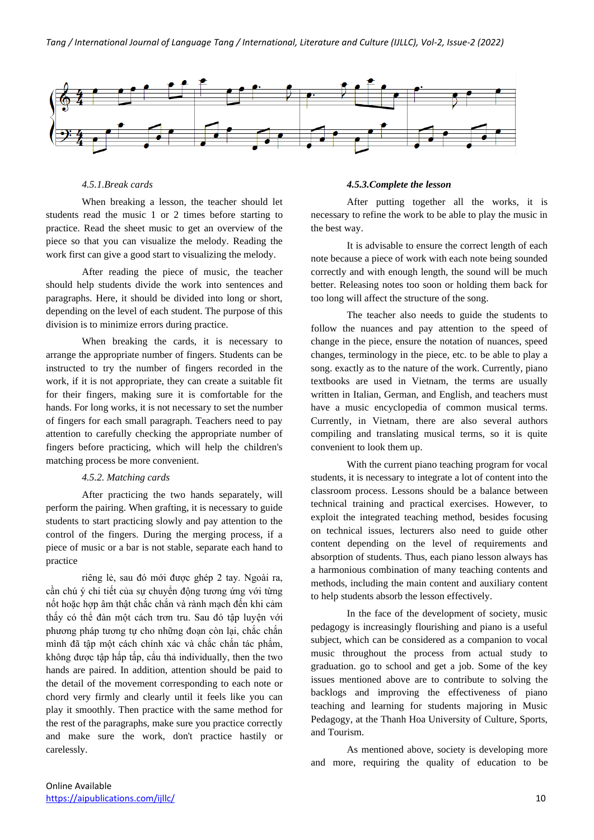

## *4.5.1.Break cards*

When breaking a lesson, the teacher should let students read the music 1 or 2 times before starting to practice. Read the sheet music to get an overview of the piece so that you can visualize the melody. Reading the work first can give a good start to visualizing the melody.

After reading the piece of music, the teacher should help students divide the work into sentences and paragraphs. Here, it should be divided into long or short, depending on the level of each student. The purpose of this division is to minimize errors during practice.

When breaking the cards, it is necessary to arrange the appropriate number of fingers. Students can be instructed to try the number of fingers recorded in the work, if it is not appropriate, they can create a suitable fit for their fingers, making sure it is comfortable for the hands. For long works, it is not necessary to set the number of fingers for each small paragraph. Teachers need to pay attention to carefully checking the appropriate number of fingers before practicing, which will help the children's matching process be more convenient.

## *4.5.2. Matching cards*

After practicing the two hands separately, will perform the pairing. When grafting, it is necessary to guide students to start practicing slowly and pay attention to the control of the fingers. During the merging process, if a piece of music or a bar is not stable, separate each hand to practice

riêng lẻ, sau đó mới được ghép 2 tay. Ngoài ra, cần chú ý chi tiết của sự chuyển động tương ứng với từng nốt hoặc hợp âm thật chắc chắn và rành mạch đến khi cảm thấy có thể đàn một cách trơn tru. Sau đó tập luyện với phương pháp tương tự cho những đoạn còn lại, chắc chắn mình đã tập một cách chính xác và chắc chắn tác phẩm, không được tập hấp tấp, cẩu thả individually, then the two hands are paired. In addition, attention should be paid to the detail of the movement corresponding to each note or chord very firmly and clearly until it feels like you can play it smoothly. Then practice with the same method for the rest of the paragraphs, make sure you practice correctly and make sure the work, don't practice hastily or carelessly.

#### *4.5.3.Complete the lesson*

After putting together all the works, it is necessary to refine the work to be able to play the music in the best way.

It is advisable to ensure the correct length of each note because a piece of work with each note being sounded correctly and with enough length, the sound will be much better. Releasing notes too soon or holding them back for too long will affect the structure of the song.

The teacher also needs to guide the students to follow the nuances and pay attention to the speed of change in the piece, ensure the notation of nuances, speed changes, terminology in the piece, etc. to be able to play a song. exactly as to the nature of the work. Currently, piano textbooks are used in Vietnam, the terms are usually written in Italian, German, and English, and teachers must have a music encyclopedia of common musical terms. Currently, in Vietnam, there are also several authors compiling and translating musical terms, so it is quite convenient to look them up.

With the current piano teaching program for vocal students, it is necessary to integrate a lot of content into the classroom process. Lessons should be a balance between technical training and practical exercises. However, to exploit the integrated teaching method, besides focusing on technical issues, lecturers also need to guide other content depending on the level of requirements and absorption of students. Thus, each piano lesson always has a harmonious combination of many teaching contents and methods, including the main content and auxiliary content to help students absorb the lesson effectively.

In the face of the development of society, music pedagogy is increasingly flourishing and piano is a useful subject, which can be considered as a companion to vocal music throughout the process from actual study to graduation. go to school and get a job. Some of the key issues mentioned above are to contribute to solving the backlogs and improving the effectiveness of piano teaching and learning for students majoring in Music Pedagogy, at the Thanh Hoa University of Culture, Sports, and Tourism.

As mentioned above, society is developing more and more, requiring the quality of education to be